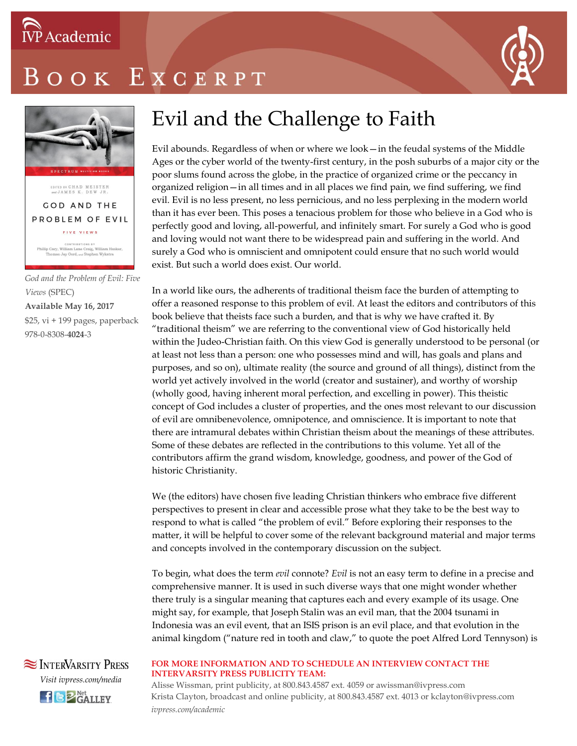

# OOK EXCERPT



EDITED BY CHAD MEISTER<br>and JAMES K. DEW JR. **GOD AND THE** PROBLEM OF EVIL FIVE VIEWS  $\begin{array}{c} \texttt{conv}{\texttt{R1BUT10NS BY}} \\ \text{Philip Cary, William Lane Craig, William Hasker} \\ \text{Thomas Jay Oord, and Stephen Wykstra} \end{array}$ 

*God and the Problem of Evil: Five Views* (SPEC) **Available May 16, 2017** \$25, vi + 199 pages, paperback 978-0-8308-**4024**-3

### Evil and the Challenge to Faith

Evil abounds. Regardless of when or where we look—in the feudal systems of the Middle Ages or the cyber world of the twenty-first century, in the posh suburbs of a major city or the poor slums found across the globe, in the practice of organized crime or the peccancy in organized religion—in all times and in all places we find pain, we find suffering, we find evil. Evil is no less present, no less pernicious, and no less perplexing in the modern world than it has ever been. This poses a tenacious problem for those who believe in a God who is perfectly good and loving, all-powerful, and infinitely smart. For surely a God who is good and loving would not want there to be widespread pain and suffering in the world. And surely a God who is omniscient and omnipotent could ensure that no such world would exist. But such a world does exist. Our world.

In a world like ours, the adherents of traditional theism face the burden of attempting to offer a reasoned response to this problem of evil. At least the editors and contributors of this book believe that theists face such a burden, and that is why we have crafted it. By "traditional theism" we are referring to the conventional view of God historically held within the Judeo-Christian faith. On this view God is generally understood to be personal (or at least not less than a person: one who possesses mind and will, has goals and plans and purposes, and so on), ultimate reality (the source and ground of all things), distinct from the world yet actively involved in the world (creator and sustainer), and worthy of worship (wholly good, having inherent moral perfection, and excelling in power). This theistic concept of God includes a cluster of properties, and the ones most relevant to our discussion of evil are omnibenevolence, omnipotence, and omniscience. It is important to note that there are intramural debates within Christian theism about the meanings of these attributes. Some of these debates are reflected in the contributions to this volume. Yet all of the contributors affirm the grand wisdom, knowledge, goodness, and power of the God of historic Christianity.

We (the editors) have chosen five leading Christian thinkers who embrace five different perspectives to present in clear and accessible prose what they take to be the best way to respond to what is called "the problem of evil." Before exploring their responses to the matter, it will be helpful to cover some of the relevant background material and major terms and concepts involved in the contemporary discussion on the subject.

To begin, what does the term *evil* connote? *Evil* is not an easy term to define in a precise and comprehensive manner. It is used in such diverse ways that one might wonder whether there truly is a singular meaning that captures each and every example of its usage. One might say, for example, that Joseph Stalin was an evil man, that the 2004 tsunami in Indonesia was an evil event, that an ISIS prison is an evil place, and that evolution in the animal kingdom ("nature red in tooth and claw," to quote the poet Alfred Lord Tennyson) is

**SEX INTERVARSITY PRESS** *Visit ivpress.com/media* **f C 2 Net** LLEY

#### **FOR MORE INFORMATION AND TO SCHEDULE AN INTERVIEW CONTACT THE INTERVARSITY PRESS PUBLICITY TEAM:**

Alisse Wissman, print publicity, at 800.843.4587 ext. 4059 or awissman@ivpress.com Krista Clayton, broadcast and online publicity, at 800.843.4587 ext. 4013 or kclayton@ivpress.com *ivpress.com/academic*